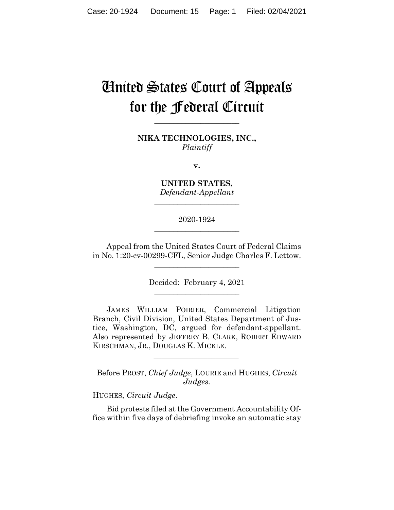# United States Court of Appeals for the Federal Circuit

**NIKA TECHNOLOGIES, INC.,** *Plaintiff*

**\_\_\_\_\_\_\_\_\_\_\_\_\_\_\_\_\_\_\_\_\_\_**

**v.**

**UNITED STATES,** *Defendant-Appellant*

**\_\_\_\_\_\_\_\_\_\_\_\_\_\_\_\_\_\_\_\_\_\_**

2020-1924 **\_\_\_\_\_\_\_\_\_\_\_\_\_\_\_\_\_\_\_\_\_\_**

Appeal from the United States Court of Federal Claims in No. 1:20-cv-00299-CFL, Senior Judge Charles F. Lettow.

\_\_\_\_\_\_\_\_\_\_\_\_\_\_\_\_\_\_\_\_\_\_

Decided: February 4, 2021 \_\_\_\_\_\_\_\_\_\_\_\_\_\_\_\_\_\_\_\_\_\_

JAMES WILLIAM POIRIER, Commercial Litigation Branch, Civil Division, United States Department of Justice, Washington, DC, argued for defendant-appellant. Also represented by JEFFREY B. CLARK, ROBERT EDWARD KIRSCHMAN, JR., DOUGLAS K. MICKLE.

Before PROST, *Chief Judge*, LOURIE and HUGHES, *Circuit Judges.*

 $\mathcal{L}_\text{max}$  and  $\mathcal{L}_\text{max}$  and  $\mathcal{L}_\text{max}$  and  $\mathcal{L}_\text{max}$ 

HUGHES, *Circuit Judge*.

Bid protests filed at the Government Accountability Office within five days of debriefing invoke an automatic stay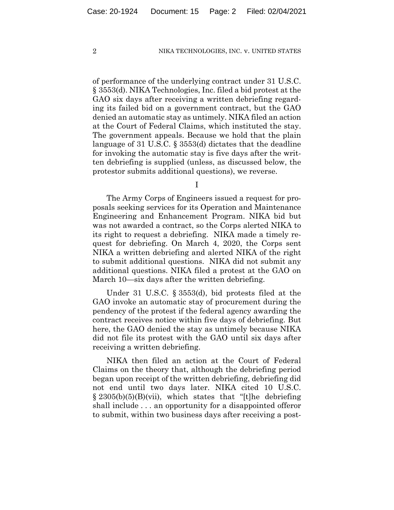of performance of the underlying contract under 31 U.S.C. § 3553(d). NIKA Technologies, Inc. filed a bid protest at the GAO six days after receiving a written debriefing regarding its failed bid on a government contract, but the GAO denied an automatic stay as untimely. NIKA filed an action at the Court of Federal Claims, which instituted the stay. The government appeals. Because we hold that the plain language of 31 U.S.C. § 3553(d) dictates that the deadline for invoking the automatic stay is five days after the written debriefing is supplied (unless, as discussed below, the protestor submits additional questions), we reverse.

I

The Army Corps of Engineers issued a request for proposals seeking services for its Operation and Maintenance Engineering and Enhancement Program. NIKA bid but was not awarded a contract, so the Corps alerted NIKA to its right to request a debriefing. NIKA made a timely request for debriefing. On March 4, 2020, the Corps sent NIKA a written debriefing and alerted NIKA of the right to submit additional questions. NIKA did not submit any additional questions. NIKA filed a protest at the GAO on March 10—six days after the written debriefing.

Under 31 U.S.C. § 3553(d), bid protests filed at the GAO invoke an automatic stay of procurement during the pendency of the protest if the federal agency awarding the contract receives notice within five days of debriefing. But here, the GAO denied the stay as untimely because NIKA did not file its protest with the GAO until six days after receiving a written debriefing.

NIKA then filed an action at the Court of Federal Claims on the theory that, although the debriefing period began upon receipt of the written debriefing, debriefing did not end until two days later. NIKA cited 10 U.S.C.  $§ 2305(b)(5)(B)(vii)$ , which states that "[t]he debriefing shall include . . . an opportunity for a disappointed offeror to submit, within two business days after receiving a post-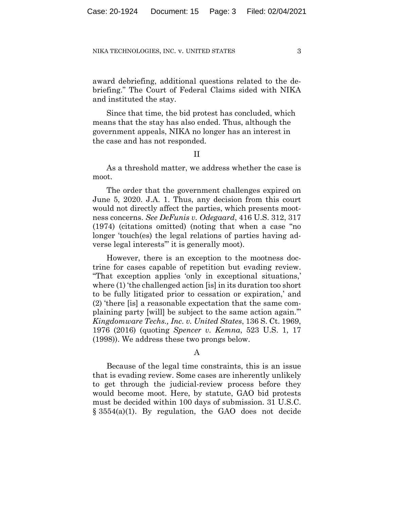award debriefing, additional questions related to the debriefing." The Court of Federal Claims sided with NIKA and instituted the stay.

Since that time, the bid protest has concluded, which means that the stay has also ended. Thus, although the government appeals, NIKA no longer has an interest in the case and has not responded.

II

As a threshold matter, we address whether the case is moot.

The order that the government challenges expired on June 5, 2020. J.A. 1. Thus, any decision from this court would not directly affect the parties, which presents mootness concerns. *See DeFunis v. Odegaard*, 416 U.S. 312, 317 (1974) (citations omitted) (noting that when a case "no longer 'touch(es) the legal relations of parties having adverse legal interests'" it is generally moot).

However, there is an exception to the mootness doctrine for cases capable of repetition but evading review. "That exception applies 'only in exceptional situations,' where (1) 'the challenged action [is] in its duration too short to be fully litigated prior to cessation or expiration,' and (2) 'there [is] a reasonable expectation that the same complaining party [will] be subject to the same action again.'" *Kingdomware Techs., Inc. v. United States*, 136 S. Ct. 1969, 1976 (2016) (quoting *Spencer v. Kemna*, 523 U.S. 1, 17 (1998)). We address these two prongs below.

## A

Because of the legal time constraints, this is an issue that is evading review. Some cases are inherently unlikely to get through the judicial-review process before they would become moot. Here, by statute, GAO bid protests must be decided within 100 days of submission. 31 U.S.C. § 3554(a)(1). By regulation, the GAO does not decide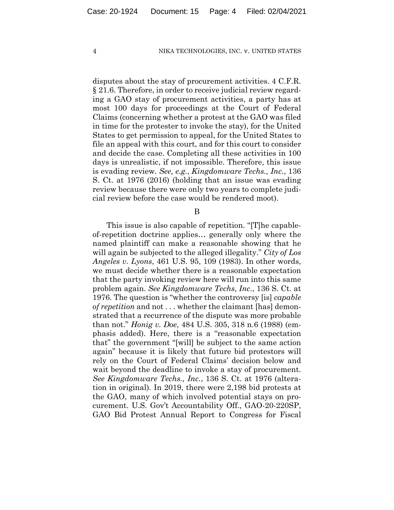disputes about the stay of procurement activities. 4 C.F.R. § 21.6. Therefore, in order to receive judicial review regarding a GAO stay of procurement activities, a party has at most 100 days for proceedings at the Court of Federal Claims (concerning whether a protest at the GAO was filed in time for the protester to invoke the stay), for the United States to get permission to appeal, for the United States to file an appeal with this court, and for this court to consider and decide the case. Completing all these activities in 100 days is unrealistic, if not impossible. Therefore, this issue is evading review. *See, e.g.*, *Kingdomware Techs., Inc.*, 136 S. Ct. at 1976 (2016) (holding that an issue was evading review because there were only two years to complete judicial review before the case would be rendered moot).

B

This issue is also capable of repetition. "[T]he capableof-repetition doctrine applies… generally only where the named plaintiff can make a reasonable showing that he will again be subjected to the alleged illegality." *City of Los Angeles v. Lyons*, 461 U.S. 95, 109 (1983). In other words, we must decide whether there is a reasonable expectation that the party invoking review here will run into this same problem again. *See Kingdomware Techs*, *Inc.*, 136 S. Ct. at 1976. The question is "whether the controversy [is] *capable of repetition* and not . . . whether the claimant [has] demonstrated that a recurrence of the dispute was more probable than not." *Honig v. Doe*, 484 U.S. 305, 318 n.6 (1988) (emphasis added). Here, there is a "reasonable expectation that" the government "[will] be subject to the same action again" because it is likely that future bid protestors will rely on the Court of Federal Claims' decision below and wait beyond the deadline to invoke a stay of procurement. *See Kingdomware Techs., Inc.*, 136 S. Ct. at 1976 (alteration in original). In 2019, there were 2,198 bid protests at the GAO, many of which involved potential stays on procurement. U.S. Gov't Accountability Off., GAO-20-220SP, GAO Bid Protest Annual Report to Congress for Fiscal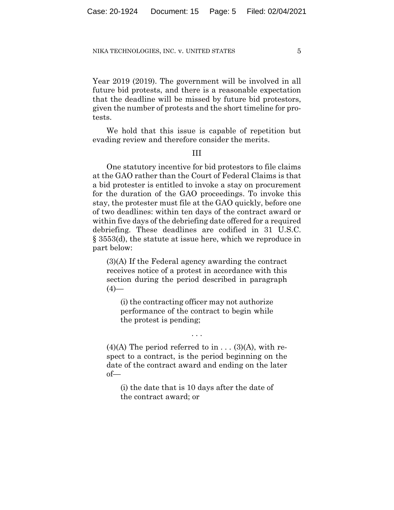Year 2019 (2019). The government will be involved in all future bid protests, and there is a reasonable expectation that the deadline will be missed by future bid protestors, given the number of protests and the short timeline for protests.

We hold that this issue is capable of repetition but evading review and therefore consider the merits.

## III

One statutory incentive for bid protestors to file claims at the GAO rather than the Court of Federal Claims is that a bid protester is entitled to invoke a stay on procurement for the duration of the GAO proceedings. To invoke this stay, the protester must file at the GAO quickly, before one of two deadlines: within ten days of the contract award or within five days of the debriefing date offered for a required debriefing. These deadlines are codified in 31 U.S.C. § 3553(d), the statute at issue here, which we reproduce in part below:

(3)(A) If the Federal agency awarding the contract receives notice of a protest in accordance with this section during the period described in paragraph  $(4)$ —

(i) the contracting officer may not authorize performance of the contract to begin while the protest is pending;

. . .

 $(4)(A)$  The period referred to in . . .  $(3)(A)$ , with respect to a contract, is the period beginning on the date of the contract award and ending on the later of—

(i) the date that is 10 days after the date of the contract award; or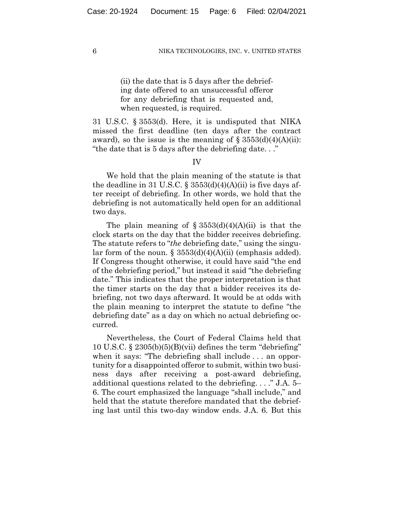(ii) the date that is 5 days after the debriefing date offered to an unsuccessful offeror for any debriefing that is requested and, when requested, is required.

31 U.S.C. § 3553(d). Here, it is undisputed that NIKA missed the first deadline (ten days after the contract award), so the issue is the meaning of  $\S 3553(d)(4)(A)(ii)$ : "the date that is 5 days after the debriefing date. . ."

IV

We hold that the plain meaning of the statute is that the deadline in 31 U.S.C.  $\S$  3553(d)(4)(A)(ii) is five days after receipt of debriefing. In other words, we hold that the debriefing is not automatically held open for an additional two days.

The plain meaning of  $\S 3553(d)(4)(A)(ii)$  is that the clock starts on the day that the bidder receives debriefing. The statute refers to "*the* debriefing date," using the singular form of the noun.  $\S$  3553(d)(4)(A)(ii) (emphasis added). If Congress thought otherwise, it could have said "the end of the debriefing period," but instead it said "the debriefing date." This indicates that the proper interpretation is that the timer starts on the day that a bidder receives its debriefing, not two days afterward. It would be at odds with the plain meaning to interpret the statute to define "the debriefing date" as a day on which no actual debriefing occurred.

Nevertheless, the Court of Federal Claims held that 10 U.S.C. § 2305(b)(5)(B)(vii) defines the term "debriefing" when it says: "The debriefing shall include . . . an opportunity for a disappointed offeror to submit, within two business days after receiving a post-award debriefing, additional questions related to the debriefing. . . ." J.A. 5– 6. The court emphasized the language "shall include," and held that the statute therefore mandated that the debriefing last until this two-day window ends. J.A. 6. But this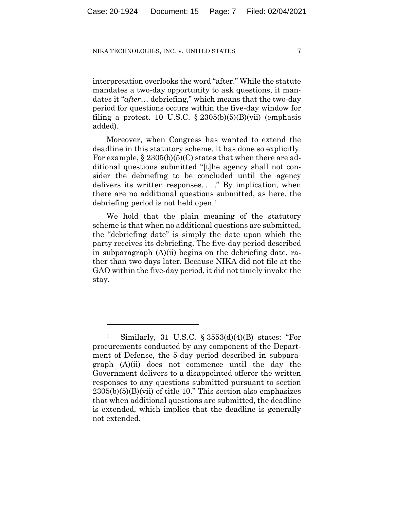interpretation overlooks the word "after." While the statute mandates a two-day opportunity to ask questions, it mandates it "*after*… debriefing," which means that the two-day period for questions occurs within the five-day window for filing a protest. 10 U.S.C.  $\S 2305(b)(5)(B)(vii)$  (emphasis added).

Moreover, when Congress has wanted to extend the deadline in this statutory scheme, it has done so explicitly. For example, § 2305(b)(5)(C) states that when there are additional questions submitted "[t]he agency shall not consider the debriefing to be concluded until the agency delivers its written responses. . . ." By implication, when there are no additional questions submitted, as here, the debriefing period is not held open.[1](#page-6-0) 

We hold that the plain meaning of the statutory scheme is that when no additional questions are submitted, the "debriefing date" is simply the date upon which the party receives its debriefing. The five-day period described in subparagraph (A)(ii) begins on the debriefing date, rather than two days later. Because NIKA did not file at the GAO within the five-day period, it did not timely invoke the stay.

<span id="page-6-0"></span>Similarly, 31 U.S.C.  $\S 3553(d)(4)(B)$  states: "For procurements conducted by any component of the Department of Defense, the 5-day period described in subparagraph (A)(ii) does not commence until the day the Government delivers to a disappointed offeror the written responses to any questions submitted pursuant to section  $2305(b)(5)(B)(vii)$  of title 10." This section also emphasizes that when additional questions are submitted, the deadline is extended, which implies that the deadline is generally not extended.